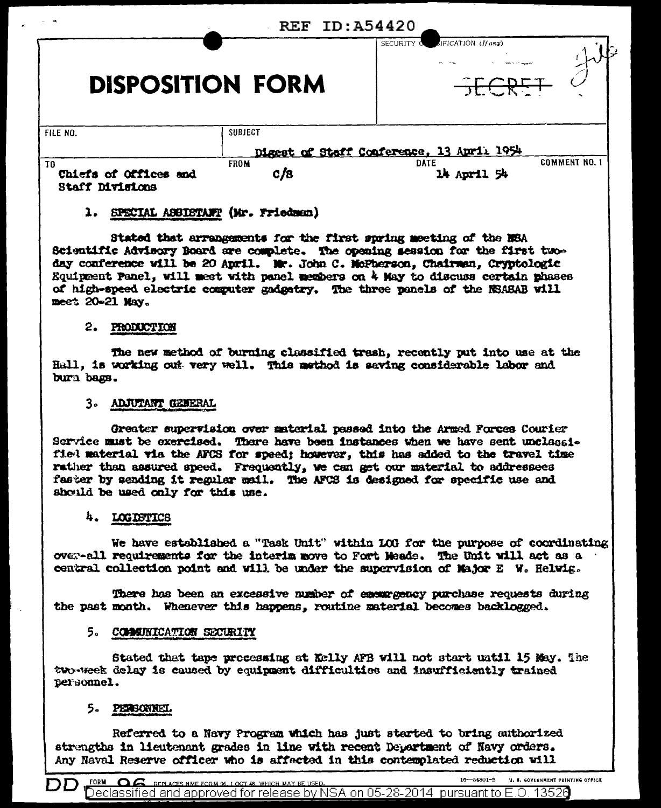| $ -$                                                       | <b>REF ID: A54420</b> |                                                    |  |
|------------------------------------------------------------|-----------------------|----------------------------------------------------|--|
| <b>DISPOSITION FORM</b>                                    |                       | JIFICATION (If any)<br>SECURITY O<br>エニードー         |  |
| FILE NO.                                                   | <b>SUBJECT</b>        | Digest of Staff Conference, 13 April 1954          |  |
| T <sub>0</sub><br>Chiefs of Offices and<br>Staff Divisions | <b>FROM</b><br>c/s    | <b>COMMENT NO. 1</b><br><b>DATE</b><br>14 April 54 |  |

## 1. SPECIAL ASSISTANT (Mr. Friedman)

Stated that arrangements for the first spring meeting of the NSA Scientific Advisory Board are complete. The opening session for the first twoday conference will be 20 April. Mr. John C. McPherson, Chairman, Cryptologic Equipment Panel, will meet with panel members on 4 May to discuss certain phases of high-speed electric computer gadgetry. The three panels of the NSASAB will meet 20-21 May.

### 2. PRODUCTION

The new method of burning classified trash, recently put into use at the Hall, is working out very well. This method is saving considerable labor and burn bags.

## 3. ADJUTANT GENERAL

Greater supervision over material passed into the Armed Forces Courier Service must be exercised. There have been instances when we have sent unclassifiel material via the AFCS for speed; however, this has added to the travel time rather than assured speed. Frequently, we can get our material to addressees faster by sending it regular mail. The AFCS is designed for specific use and should be used only for this use.

## 4. LOGISTICS

We have established a "Task Unit" within LOG for the purpose of coordinating over-all requirements for the interim move to Fort Meade. The Unit will act as a central collection point and will be under the supervision of Najor E W. Helwig.

There has been an excessive number of enemy gency purchase requests during the past month. Whenever this happens, routine material becomes backlogged.

## 5. COMMUNICATION SECURITY

Stated that tape processing at Kelly APB will not start until 15 May. The two-week delay is caused by equipment difficulties and insufficiently trained personnel.

# 5. PERSONNEL

Referred to a Navy Program which has just started to bring authorized strengths in lieutenant grades in line with recent Department of Navy orders. Any Naval Reserve officer who is affected in this contemplated reduction will